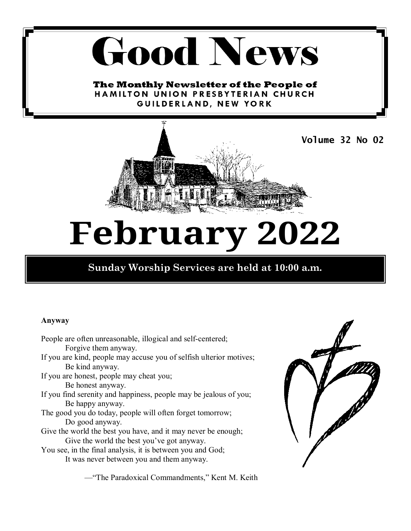# **Good News**

The Monthly Newsletter of the People of **HAMILTON UNION PRESBYTERIAN CHURCH** GUILDERLAND, NEW YORK



## **February 2022**

## **Sunday Worship Services are held at 10:00 a.m.**

#### **Anyway**

 People are often unreasonable, illogical and self-centered; Forgive them anyway. If you are kind, people may accuse you of selfish ulterior motives; Be kind anyway. If you are honest, people may cheat you; Be honest anyway. If you find serenity and happiness, people may be jealous of you; Be happy anyway. The good you do today, people will often forget tomorrow; Do good anyway. Give the world the best you have, and it may never be enough; Give the world the best you've got anyway. You see, in the final analysis, it is between you and God; It was never between you and them anyway.

—"The Paradoxical Commandments," Kent M. Keith

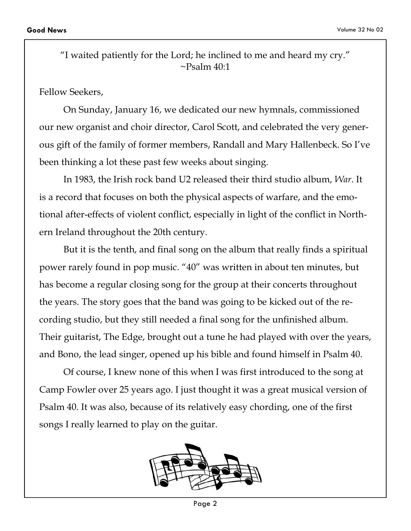"I waited patiently for the Lord; he inclined to me and heard my cry."  $\sim$ Psalm 40:1

Fellow Seekers,

 On Sunday, January 16, we dedicated our new hymnals, commissioned our new organist and choir director, Carol Scott, and celebrated the very generous gift of the family of former members, Randall and Mary Hallenbeck. So I've been thinking a lot these past few weeks about singing.

 In 1983, the Irish rock band U2 released their third studio album, *War*. It is a record that focuses on both the physical aspects of warfare, and the emotional after-effects of violent conflict, especially in light of the conflict in Northern Ireland throughout the 20th century.

 But it is the tenth, and final song on the album that really finds a spiritual power rarely found in pop music. "40" was written in about ten minutes, but has become a regular closing song for the group at their concerts throughout the years. The story goes that the band was going to be kicked out of the recording studio, but they still needed a final song for the unfinished album. Their guitarist, The Edge, brought out a tune he had played with over the years, and Bono, the lead singer, opened up his bible and found himself in Psalm 40.

 Of course, I knew none of this when I was first introduced to the song at Camp Fowler over 25 years ago. I just thought it was a great musical version of Psalm 40. It was also, because of its relatively easy chording, one of the first songs I really learned to play on the guitar.



Page 2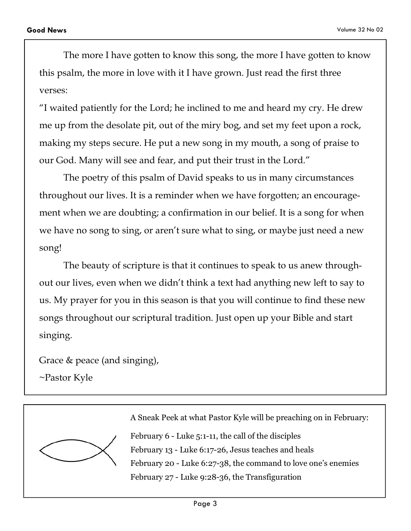The more I have gotten to know this song, the more I have gotten to know this psalm, the more in love with it I have grown. Just read the first three verses:

"I waited patiently for the Lord; he inclined to me and heard my cry. He drew me up from the desolate pit, out of the miry bog, and set my feet upon a rock, making my steps secure. He put a new song in my mouth, a song of praise to our God. Many will see and fear, and put their trust in the Lord."

 The poetry of this psalm of David speaks to us in many circumstances throughout our lives. It is a reminder when we have forgotten; an encouragement when we are doubting; a confirmation in our belief. It is a song for when we have no song to sing, or aren't sure what to sing, or maybe just need a new song!

 The beauty of scripture is that it continues to speak to us anew throughout our lives, even when we didn't think a text had anything new left to say to us. My prayer for you in this season is that you will continue to find these new songs throughout our scriptural tradition. Just open up your Bible and start singing.

Grace & peace (and singing),

~Pastor Kyle



A Sneak Peek at what Pastor Kyle will be preaching on in February:

February 6 - Luke 5:1-11, the call of the disciples February 13 - Luke 6:17-26, Jesus teaches and heals February 20 - Luke 6:27-38, the command to love one's enemies February 27 - Luke 9:28-36, the Transfiguration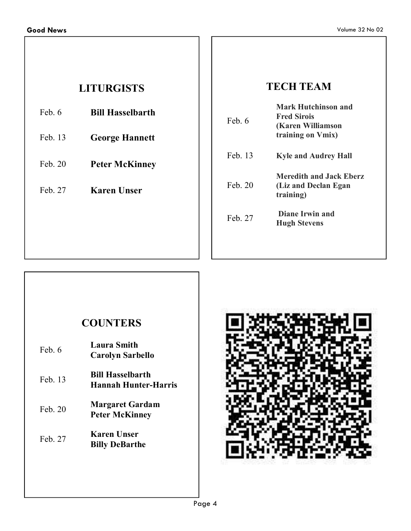## **LITURGISTS**

Feb. 6 **Bill Hasselbarth** 

- Feb. 13 **George Hannett**
- Feb. 20 **Peter McKinney**
- Feb. 27 **Karen Unser**

## **TECH TEAM**

| Feb 6   | <b>Mark Hutchinson and</b><br><b>Fred Sirois</b><br>(Karen Williamson<br>training on Vmix) |
|---------|--------------------------------------------------------------------------------------------|
| Feb. 13 | <b>Kyle and Audrey Hall</b>                                                                |
| Feb. 20 | <b>Meredith and Jack Eberz</b><br>(Liz and Declan Egan)<br><i>training</i> )               |
| Feb. 27 | <b>Diane Irwin and</b><br><b>Hugh Stevens</b>                                              |
|         |                                                                                            |

## **COUNTERS**

| Feb 6     | <b>Laura Smith</b><br><b>Carolyn Sarbello</b>   |
|-----------|-------------------------------------------------|
| Feb. 13   | <b>Bill Hasselbarth</b><br>Hannah Hunter-Harris |
| Feb. $20$ | <b>Margaret Gardam</b><br><b>Peter McKinney</b> |
| Feb. 27   | Karen Unser<br><b>Billy DeBarthe</b>            |

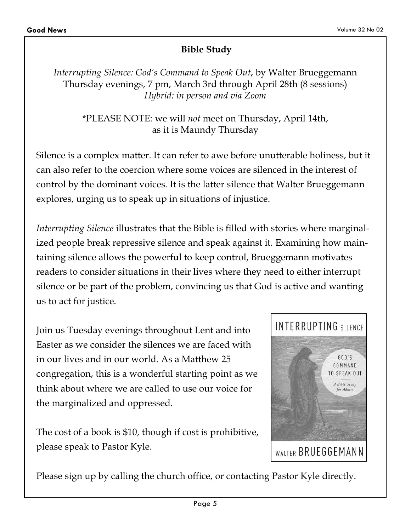## **Bible Study**

*Interrupting Silence: God's Command to Speak Out*, by Walter Brueggemann Thursday evenings, 7 pm, March 3rd through April 28th (8 sessions) *Hybrid: in person and via Zoom* 

\*PLEASE NOTE: we will *not* meet on Thursday, April 14th, as it is Maundy Thursday

Silence is a complex matter. It can refer to awe before unutterable holiness, but it can also refer to the coercion where some voices are silenced in the interest of control by the dominant voices. It is the latter silence that Walter Brueggemann explores, urging us to speak up in situations of injustice.

*Interrupting Silence* illustrates that the Bible is filled with stories where marginalized people break repressive silence and speak against it. Examining how maintaining silence allows the powerful to keep control, Brueggemann motivates readers to consider situations in their lives where they need to either interrupt silence or be part of the problem, convincing us that God is active and wanting us to act for justice.

Join us Tuesday evenings throughout Lent and into Easter as we consider the silences we are faced with in our lives and in our world. As a Matthew 25 congregation, this is a wonderful starting point as we think about where we are called to use our voice for the marginalized and oppressed.

The cost of a book is \$10, though if cost is prohibitive, please speak to Pastor Kyle.



Please sign up by calling the church office, or contacting Pastor Kyle directly.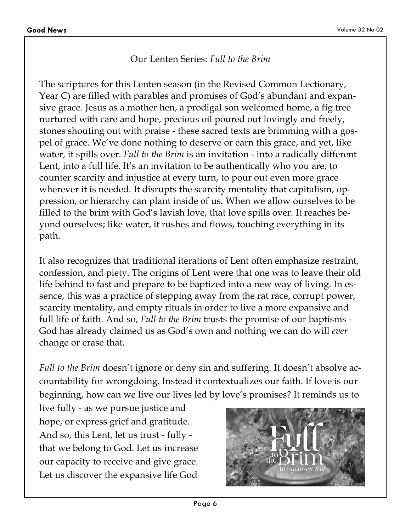#### Our Lenten Series: *Full to the Brim*

The scriptures for this Lenten season (in the Revised Common Lectionary, Year C) are filled with parables and promises of God's abundant and expansive grace. Jesus as a mother hen, a prodigal son welcomed home, a fig tree nurtured with care and hope, precious oil poured out lovingly and freely, stones shouting out with praise - these sacred texts are brimming with a gospel of grace. We've done nothing to deserve or earn this grace, and yet, like water, it spills over. *Full to the Brim* is an invitation - into a radically different Lent, into a full life. It's an invitation to be authentically who you are, to counter scarcity and injustice at every turn, to pour out even more grace wherever it is needed. It disrupts the scarcity mentality that capitalism, oppression, or hierarchy can plant inside of us. When we allow ourselves to be filled to the brim with God's lavish love, that love spills over. It reaches beyond ourselves; like water, it rushes and flows, touching everything in its path.

It also recognizes that traditional iterations of Lent often emphasize restraint, confession, and piety. The origins of Lent were that one was to leave their old life behind to fast and prepare to be baptized into a new way of living. In essence, this was a practice of stepping away from the rat race, corrupt power, scarcity mentality, and empty rituals in order to live a more expansive and full life of faith. And so, *Full to the Brim* trusts the promise of our baptisms - God has already claimed us as God's own and nothing we can do will *ever*  change or erase that.

*Full to the Brim* doesn't ignore or deny sin and suffering. It doesn't absolve accountability for wrongdoing. Instead it contextualizes our faith. If love is our beginning, how can we live our lives led by love's promises? It reminds us to

live fully - as we pursue justice and hope, or express grief and gratitude. And so, this Lent, let us trust - fully that we belong to God. Let us increase our capacity to receive and give grace. Let us discover the expansive life God

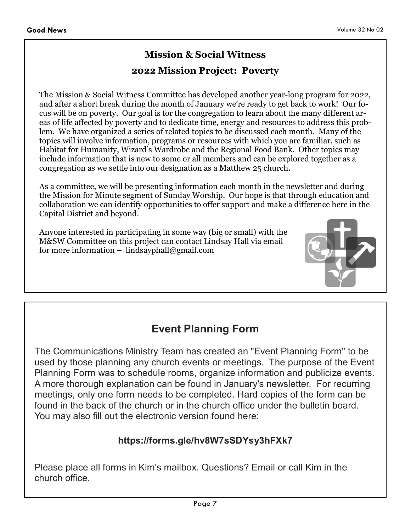## **Mission & Social Witness 2022 Mission Project: Poverty**

The Mission & Social Witness Committee has developed another year-long program for 2022, and after a short break during the month of January we're ready to get back to work! Our focus will be on poverty. Our goal is for the congregation to learn about the many different areas of life affected by poverty and to dedicate time, energy and resources to address this problem. We have organized a series of related topics to be discussed each month. Many of the topics will involve information, programs or resources with which you are familiar, such as Habitat for Humanity, Wizard's Wardrobe and the Regional Food Bank. Other topics may include information that is new to some or all members and can be explored together as a congregation as we settle into our designation as a Matthew 25 church.

As a committee, we will be presenting information each month in the newsletter and during the Mission for Minute segment of Sunday Worship. Our hope is that through education and collaboration we can identify opportunities to offer support and make a difference here in the Capital District and beyond.

Anyone interested in participating in some way (big or small) with the M&SW Committee on this project can contact Lindsay Hall via email for more information – lindsayphall@gmail.com



## **Event Planning Form**

The Communications Ministry Team has created an "Event Planning Form" to be used by those planning any church events or meetings. The purpose of the Event Planning Form was to schedule rooms, organize information and publicize events. A more thorough explanation can be found in January's newsletter. For recurring meetings, only one form needs to be completed. Hard copies of the form can be found in the back of the church or in the church office under the bulletin board. You may also fill out the electronic version found here:

#### **https://forms.gle/hv8W7sSDYsy3hFXk7**

Please place all forms in Kim's mailbox. Questions? Email or call Kim in the church office.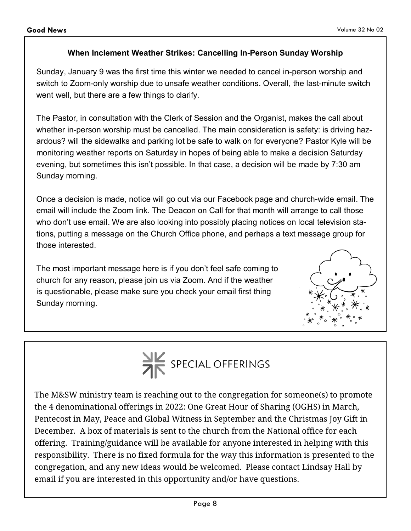#### **When Inclement Weather Strikes: Cancelling In-Person Sunday Worship**

Sunday, January 9 was the first time this winter we needed to cancel in-person worship and switch to Zoom-only worship due to unsafe weather conditions. Overall, the last-minute switch went well, but there are a few things to clarify.

The Pastor, in consultation with the Clerk of Session and the Organist, makes the call about whether in-person worship must be cancelled. The main consideration is safety: is driving hazardous? will the sidewalks and parking lot be safe to walk on for everyone? Pastor Kyle will be monitoring weather reports on Saturday in hopes of being able to make a decision Saturday evening, but sometimes this isn't possible. In that case, a decision will be made by 7:30 am Sunday morning.

Once a decision is made, notice will go out via our Facebook page and church-wide email. The email will include the Zoom link. The Deacon on Call for that month will arrange to call those who don't use email. We are also looking into possibly placing notices on local television stations, putting a message on the Church Office phone, and perhaps a text message group for those interested.

The most important message here is if you don't feel safe coming to church for any reason, please join us via Zoom. And if the weather is questionable, please make sure you check your email first thing Sunday morning.





The M&SW ministry team is reaching out to the congregation for someone(s) to promote the 4 denominational offerings in 2022: One Great Hour of Sharing (OGHS) in March, Pentecost in May, Peace and Global Witness in September and the Christmas Joy Gift in December. A box of materials is sent to the church from the National office for each offering. Training/guidance will be available for anyone interested in helping with this responsibility. There is no fixed formula for the way this information is presented to the congregation, and any new ideas would be welcomed. Please contact Lindsay Hall by email if you are interested in this opportunity and/or have questions.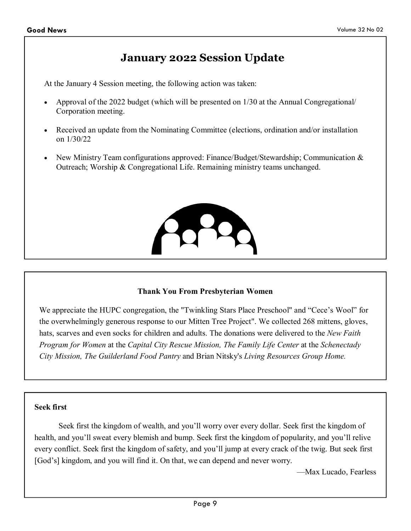## **January 2022 Session Update**

At the January 4 Session meeting, the following action was taken:

- Approval of the 2022 budget (which will be presented on 1/30 at the Annual Congregational/ Corporation meeting.
- Received an update from the Nominating Committee (elections, ordination and/or installation on 1/30/22
- New Ministry Team configurations approved: Finance/Budget/Stewardship; Communication & Outreach; Worship & Congregational Life. Remaining ministry teams unchanged.



#### **Thank You From Presbyterian Women**

We appreciate the HUPC congregation, the "Twinkling Stars Place Preschool" and "Cece's Wool" for the overwhelmingly generous response to our Mitten Tree Project". We collected 268 mittens, gloves, hats, scarves and even socks for children and adults. The donations were delivered to the *New Faith Program for Women* at the *Capital City Rescue Mission, The Family Life Center* at the *Schenectady City Mission, The Guilderland Food Pantry* and Brian Nitsky's *Living Resources Group Home.*

#### **Seek first**

 Seek first the kingdom of wealth, and you'll worry over every dollar. Seek first the kingdom of health, and you'll sweat every blemish and bump. Seek first the kingdom of popularity, and you'll relive every conflict. Seek first the kingdom of safety, and you'll jump at every crack of the twig. But seek first [God's] kingdom, and you will find it. On that, we can depend and never worry.

—Max Lucado, Fearless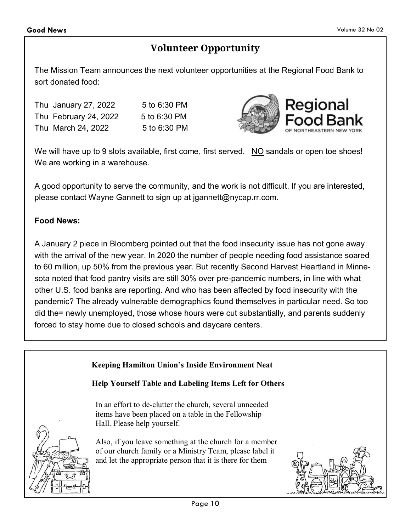## **Volunteer Opportunity**

The Mission Team announces the next volunteer opportunities at the Regional Food Bank to sort donated food:

| Thu January 27, 2022  | 5 to 6:30 PM |
|-----------------------|--------------|
| Thu February 24, 2022 | 5 to 6:30 PM |
| Thu March 24, 2022    | 5 to 6:30 PM |



We will have up to 9 slots available, first come, first served. NO sandals or open toe shoes! We are working in a warehouse.

A good opportunity to serve the community, and the work is not difficult. If you are interested, please contact Wayne Gannett to sign up at jgannett@nycap.rr.com.

#### **Food News:**

A January 2 piece in Bloomberg pointed out that the food insecurity issue has not gone away with the arrival of the new year. In 2020 the number of people needing food assistance soared to 60 million, up 50% from the previous year. But recently Second Harvest Heartland in Minnesota noted that food pantry visits are still 30% over pre-pandemic numbers, in line with what other U.S. food banks are reporting. And who has been affected by food insecurity with the pandemic? The already vulnerable demographics found themselves in particular need. So too did the= newly unemployed, those whose hours were cut substantially, and parents suddenly forced to stay home due to closed schools and daycare centers.

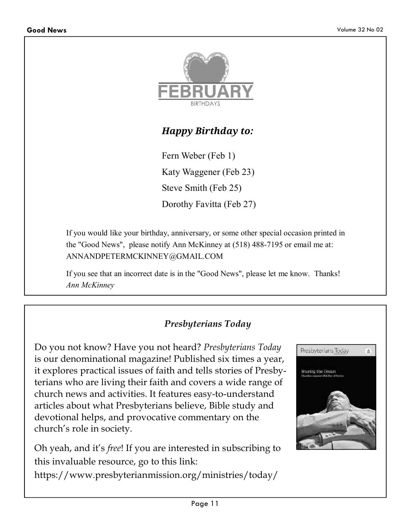

## *Happy Birthday to:*

Fern Weber (Feb 1) Katy Waggener (Feb 23) Steve Smith (Feb 25) Dorothy Favitta (Feb 27)

If you would like your birthday, anniversary, or some other special occasion printed in the "Good News", please notify Ann McKinney at (518) 488-7195 or email me at: ANNANDPETERMCKINNEY@GMAIL.COM

If you see that an incorrect date is in the "Good News", please let me know. Thanks! *Ann McKinney*

## *Presbyterians Today*

Do you not know? Have you not heard? *Presbyterians Today*  is our denominational magazine! Published six times a year, it explores practical issues of faith and tells stories of Presbyterians who are living their faith and covers a wide range of church news and activities. It features easy-to-understand articles about what Presbyterians believe, Bible study and devotional helps, and provocative commentary on the church's role in society.

Oh yeah, and it's *free*! If you are interested in subscribing to this invaluable resource, go to this link:

https://www.presbyterianmission.org/ministries/today/

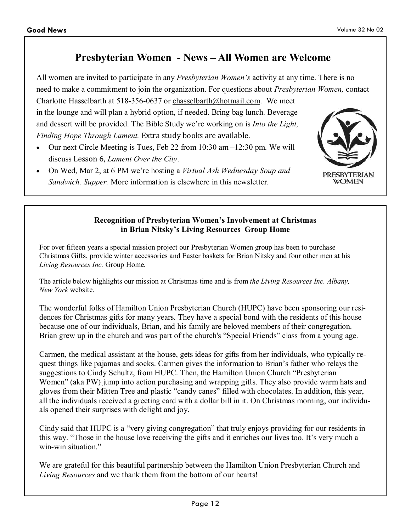## **Presbyterian Women - News – All Women are Welcome**

All women are invited to participate in any *Presbyterian Women's* activity at any time. There is no need to make a commitment to join the organization. For questions about *Presbyterian Women,* contact

Charlotte Hasselbarth at 518-356-0637 or chasselbarth@hotmail.com. We meet in the lounge and will plan a hybrid option, if needed. Bring bag lunch. Beverage and dessert will be provided. The Bible Study we're working on is *Into the Light, Finding Hope Through Lament.* Extra study books are available.

- Our next Circle Meeting is Tues, Feb 22 from 10:30 am –12:30 pm. We will discuss Lesson 6, *Lament Over the City*.
- On Wed, Mar 2, at 6 PM we're hosting a *Virtual Ash Wednesday Soup and Sandwich. Supper.* More information is elsewhere in this newsletter.



#### **Recognition of Presbyterian Women's Involvement at Christmas in Brian Nitsky's Living Resources Group Home**

For over fifteen years a special mission project our Presbyterian Women group has been to purchase Christmas Gifts, provide winter accessories and Easter baskets for Brian Nitsky and four other men at his *Living Resources Inc.* Group Home.

The article below highlights our mission at Christmas time and is from *the Living Resources Inc. Albany, New York* website.

The wonderful folks of Hamilton Union Presbyterian Church (HUPC) have been sponsoring our residences for Christmas gifts for many years. They have a special bond with the residents of this house because one of our individuals, Brian, and his family are beloved members of their congregation. Brian grew up in the church and was part of the church's "Special Friends" class from a young age.

Carmen, the medical assistant at the house, gets ideas for gifts from her individuals, who typically request things like pajamas and socks. Carmen gives the information to Brian's father who relays the suggestions to Cindy Schultz, from HUPC. Then, the Hamilton Union Church "Presbyterian Women" (aka PW) jump into action purchasing and wrapping gifts. They also provide warm hats and gloves from their Mitten Tree and plastic "candy canes" filled with chocolates. In addition, this year, all the individuals received a greeting card with a dollar bill in it. On Christmas morning, our individuals opened their surprises with delight and joy.

Cindy said that HUPC is a "very giving congregation" that truly enjoys providing for our residents in this way. "Those in the house love receiving the gifts and it enriches our lives too. It's very much a win-win situation."

We are grateful for this beautiful partnership between the Hamilton Union Presbyterian Church and *Living Resources* and we thank them from the bottom of our hearts!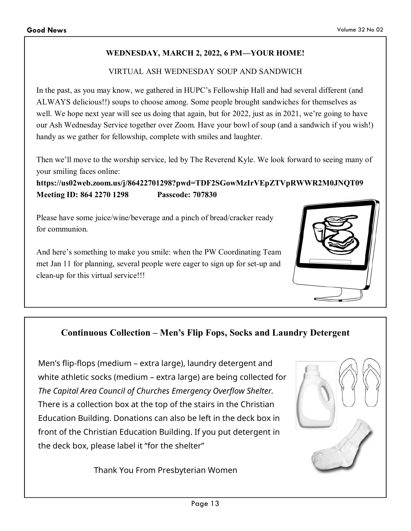#### **WEDNESDAY, MARCH 2, 2022, 6 PM—YOUR HOME!**

#### VIRTUAL ASH WEDNESDAY SOUP AND SANDWICH

In the past, as you may know, we gathered in HUPC's Fellowship Hall and had several different (and ALWAYS delicious!!) soups to choose among. Some people brought sandwiches for themselves as well. We hope next year will see us doing that again, but for 2022, just as in 2021, we're going to have our Ash Wednesday Service together over Zoom. Have your bowl of soup (and a sandwich if you wish!) handy as we gather for fellowship, complete with smiles and laughter.

Then we'll move to the worship service, led by The Reverend Kyle. We look forward to seeing many of your smiling faces online:

**https://us02web.zoom.us/j/86422701298?pwd=TDF2SGowMzIrVEpZTVpRWWR2M0JNQT09 Meeting ID: 864 2270 1298 Passcode: 707830** 

Please have some juice/wine/beverage and a pinch of bread/cracker ready for communion.

And here's something to make you smile: when the PW Coordinating Team met Jan 11 for planning, several people were eager to sign up for set-up and clean-up for this virtual service!!!



## **Continuous Collection – Men's Flip Fops, Socks and Laundry Detergent**

Men's flip-flops (medium – extra large), laundry detergent and white athletic socks (medium – extra large) are being collected for *The Capital Area Council of Churches Emergency Overflow Shelter.*  There is a collection box at the top of the stairs in the Christian Education Building. Donations can also be left in the deck box in front of the Christian Education Building. If you put detergent in the deck box, please label it "for the shelter"

Thank You From Presbyterian Women

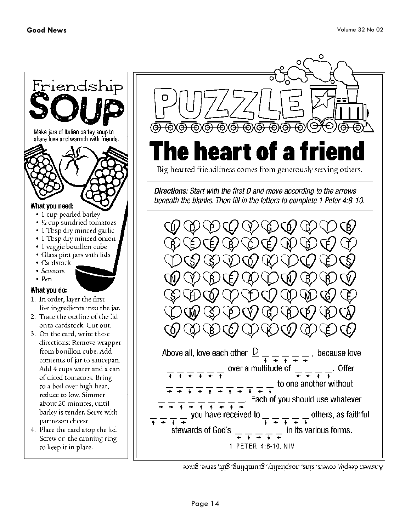

4. Place the card atop the lid. Screw on the canning ring to keep it in place.



## heart of a f he I

Big-hearted friendliness comes from generously serving others.

Directions: Start with the first D and move according to the arrows beneath the blanks. Then fill in the letters to complete 1 Peter 4:8-10.

Above all, love each other  $\frac{D}{+}$   $\frac{1}{+}$   $\frac{1}{+}$   $\frac{1}{+}$   $\frac{1}{+}$  because love over a multitude of  $\frac{1}{\sqrt{2}}$   $\frac{1}{\sqrt{2}}$   $\frac{1}{\sqrt{2}}$  offer  $\overline{+}\,\overline{+}\,\overline{+}\,\overline{+}\,\overline{+}\,\overline{+}\,\overline{+}$  $\frac{1}{x} \pm \frac{1}{x} \pm \frac{1}{x} \pm \frac{1}{x} \pm \frac{1}{x} \pm \frac{1}{x}$  to one another without  $+\rightarrow + + + + + +$ <br>  $\frac{1}{\rightarrow} + \frac{1}{\rightarrow} + \frac{1}{\rightarrow} + \frac{1}{\rightarrow}$ . Each of you should use whatever  $\frac{1}{x}$  you have received to  $\frac{1}{x}$   $\frac{1}{x}$   $\frac{1}{x}$   $\frac{1}{x}$  others, as faithful  $\frac{1}{x} + \frac{1}{x} + \frac{1}{x}$  in its various forms. stewards of God's 1 PETER 4:8-10, NIV

Answer: deeply, covers, sins, lospitality, grumbling, gift, serve, grace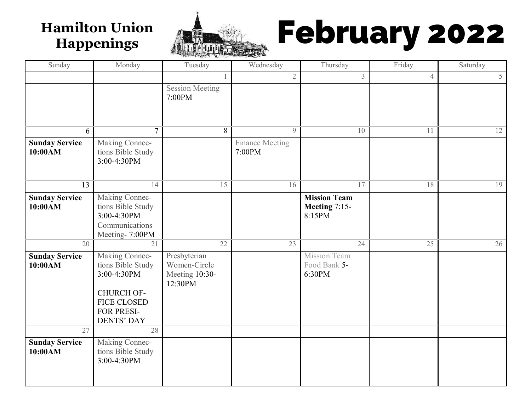

# Hamilton Union **Hamilton Union 1999**

| Sunday                           | Monday                                                                                                                           | Tuesday                                                   | Wednesday                        | Thursday                                       | Friday         | Saturday |
|----------------------------------|----------------------------------------------------------------------------------------------------------------------------------|-----------------------------------------------------------|----------------------------------|------------------------------------------------|----------------|----------|
|                                  |                                                                                                                                  |                                                           | $\overline{2}$                   | $\overline{3}$                                 | $\overline{4}$ | 5        |
|                                  |                                                                                                                                  | <b>Session Meeting</b><br>7:00PM                          |                                  |                                                |                |          |
| 6                                | $\overline{7}$                                                                                                                   | 8                                                         | $\mathcal{Q}$                    | 10                                             | 11             | 12       |
| <b>Sunday Service</b><br>10:00AM | Making Connec-<br>tions Bible Study<br>3:00-4:30PM                                                                               |                                                           | <b>Finance Meeting</b><br>7:00PM |                                                |                |          |
| 13                               | 14                                                                                                                               | 15                                                        | 16                               | 17                                             | 18             | 19       |
| <b>Sunday Service</b><br>10:00AM | Making Connec-<br>tions Bible Study<br>3:00-4:30PM<br>Communications<br>Meeting- 7:00PM                                          |                                                           |                                  | <b>Mission Team</b><br>Meeting 7:15-<br>8:15PM |                |          |
| 20                               | 21                                                                                                                               | 22                                                        | 23                               | 24                                             | 25             | 26       |
| <b>Sunday Service</b><br>10:00AM | Making Connec-<br>tions Bible Study<br>3:00-4:30PM<br><b>CHURCH OF-</b><br><b>FICE CLOSED</b><br>FOR PRESI-<br><b>DENTS' DAY</b> | Presbyterian<br>Women-Circle<br>Meeting 10:30-<br>12:30PM |                                  | <b>Mission Team</b><br>Food Bank 5-<br>6:30PM  |                |          |
| 27                               | 28                                                                                                                               |                                                           |                                  |                                                |                |          |
| <b>Sunday Service</b><br>10:00AM | Making Connec-<br>tions Bible Study<br>3:00-4:30PM                                                                               |                                                           |                                  |                                                |                |          |